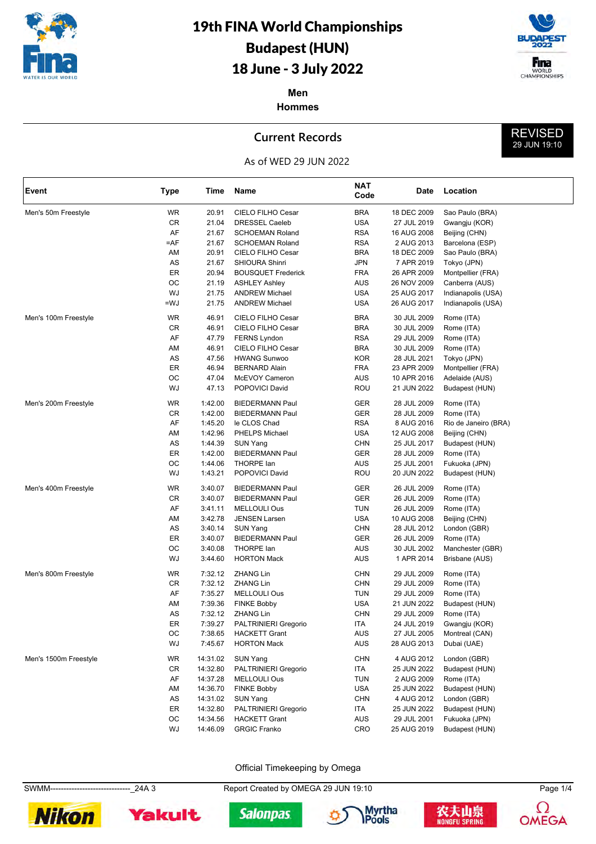



REVISED 29 JUN 19:10

**Men Hommes**

### **Current Records**



| Event                 | <b>Type</b> | Time     | Name                        | <b>NAT</b><br>Code | Date        | Location             |
|-----------------------|-------------|----------|-----------------------------|--------------------|-------------|----------------------|
| Men's 50m Freestyle   | <b>WR</b>   | 20.91    | CIELO FILHO Cesar           | <b>BRA</b>         | 18 DEC 2009 | Sao Paulo (BRA)      |
|                       | CR          | 21.04    | <b>DRESSEL Caeleb</b>       | <b>USA</b>         | 27 JUL 2019 | Gwangju (KOR)        |
|                       | AF          | 21.67    | <b>SCHOEMAN Roland</b>      | RSA                | 16 AUG 2008 | Beijing (CHN)        |
|                       | $=$ AF      | 21.67    | <b>SCHOEMAN Roland</b>      | RSA                | 2 AUG 2013  | Barcelona (ESP)      |
|                       | AM          | 20.91    | CIELO FILHO Cesar           | <b>BRA</b>         | 18 DEC 2009 | Sao Paulo (BRA)      |
|                       | AS          | 21.67    | SHIOURA Shinri              | JPN                | 7 APR 2019  | Tokyo (JPN)          |
|                       | ER          | 20.94    | <b>BOUSQUET Frederick</b>   | <b>FRA</b>         | 26 APR 2009 | Montpellier (FRA)    |
|                       | OC          | 21.19    | <b>ASHLEY Ashley</b>        | AUS                | 26 NOV 2009 | Canberra (AUS)       |
|                       | WJ          | 21.75    | <b>ANDREW Michael</b>       | <b>USA</b>         | 25 AUG 2017 | Indianapolis (USA)   |
|                       | $=$ WJ      | 21.75    | <b>ANDREW Michael</b>       | <b>USA</b>         | 26 AUG 2017 | Indianapolis (USA)   |
| Men's 100m Freestyle  | <b>WR</b>   | 46.91    | CIELO FILHO Cesar           | <b>BRA</b>         | 30 JUL 2009 | Rome (ITA)           |
|                       | CR          | 46.91    | CIELO FILHO Cesar           | <b>BRA</b>         | 30 JUL 2009 | Rome (ITA)           |
|                       | AF          | 47.79    | <b>FERNS Lyndon</b>         | <b>RSA</b>         | 29 JUL 2009 | Rome (ITA)           |
|                       | AM          | 46.91    | CIELO FILHO Cesar           | <b>BRA</b>         | 30 JUL 2009 | Rome (ITA)           |
|                       | AS          | 47.56    | <b>HWANG Sunwoo</b>         | KOR                | 28 JUL 2021 | Tokyo (JPN)          |
|                       | ER          | 46.94    | <b>BERNARD Alain</b>        | <b>FRA</b>         | 23 APR 2009 | Montpellier (FRA)    |
|                       | OC          | 47.04    | McEVOY Cameron              | AUS                | 10 APR 2016 | Adelaide (AUS)       |
|                       | WJ          | 47.13    | POPOVICI David              | <b>ROU</b>         | 21 JUN 2022 | Budapest (HUN)       |
| Men's 200m Freestyle  | <b>WR</b>   | 1:42.00  | <b>BIEDERMANN Paul</b>      | GER                | 28 JUL 2009 | Rome (ITA)           |
|                       | CR          | 1:42.00  | <b>BIEDERMANN Paul</b>      | GER                | 28 JUL 2009 | Rome (ITA)           |
|                       | AF          | 1:45.20  | le CLOS Chad                | <b>RSA</b>         | 8 AUG 2016  | Rio de Janeiro (BRA) |
|                       | AM          | 1:42.96  | PHELPS Michael              | <b>USA</b>         | 12 AUG 2008 | Beijing (CHN)        |
|                       | AS          | 1:44.39  | SUN Yang                    | CHN                | 25 JUL 2017 | Budapest (HUN)       |
|                       | ER          | 1:42.00  | <b>BIEDERMANN Paul</b>      | GER                | 28 JUL 2009 | Rome (ITA)           |
|                       | OC          | 1:44.06  | THORPE lan                  | AUS                | 25 JUL 2001 | Fukuoka (JPN)        |
|                       | WJ          | 1:43.21  | POPOVICI David              | <b>ROU</b>         | 20 JUN 2022 | Budapest (HUN)       |
| Men's 400m Freestyle  | WR          | 3:40.07  | <b>BIEDERMANN Paul</b>      | GER                | 26 JUL 2009 | Rome (ITA)           |
|                       | CR          | 3:40.07  | <b>BIEDERMANN Paul</b>      | GER                | 26 JUL 2009 | Rome (ITA)           |
|                       | AF          | 3:41.11  | <b>MELLOULI Ous</b>         | <b>TUN</b>         | 26 JUL 2009 | Rome (ITA)           |
|                       | AM          | 3:42.78  | <b>JENSEN Larsen</b>        | <b>USA</b>         | 10 AUG 2008 | Beijing (CHN)        |
|                       | AS          | 3:40.14  | SUN Yang                    | CHN                | 28 JUL 2012 | London (GBR)         |
|                       | ER          | 3:40.07  | <b>BIEDERMANN Paul</b>      | GER                | 26 JUL 2009 | Rome (ITA)           |
|                       | OС          | 3:40.08  | <b>THORPE lan</b>           | <b>AUS</b>         | 30 JUL 2002 | Manchester (GBR)     |
|                       | WJ          | 3:44.60  | <b>HORTON Mack</b>          | AUS                | 1 APR 2014  | Brisbane (AUS)       |
| Men's 800m Freestyle  | <b>WR</b>   | 7:32.12  | <b>ZHANG Lin</b>            | <b>CHN</b>         | 29 JUL 2009 | Rome (ITA)           |
|                       | CR          | 7:32.12  | <b>ZHANG Lin</b>            | CHN                | 29 JUL 2009 | Rome (ITA)           |
|                       | AF          | 7:35.27  | <b>MELLOULI Ous</b>         | <b>TUN</b>         | 29 JUL 2009 | Rome (ITA)           |
|                       | AM          | 7:39.36  | <b>FINKE Bobby</b>          | <b>USA</b>         | 21 JUN 2022 | Budapest (HUN)       |
|                       | AS          | 7:32.12  | <b>ZHANG Lin</b>            | CHN                | 29 JUL 2009 | Rome (ITA)           |
|                       | ER          | 7:39.27  | <b>PALTRINIERI Gregorio</b> | ITA                | 24 JUL 2019 | Gwangju (KOR)        |
|                       | OС          | 7:38.65  | HACKETT Grant               | AUS                | 27 JUL 2005 | Montreal (CAN)       |
|                       | WJ          | 7:45.67  | <b>HORTON Mack</b>          | AUS                | 28 AUG 2013 | Dubai (UAE)          |
| Men's 1500m Freestyle | WR          | 14:31.02 | SUN Yang                    | <b>CHN</b>         | 4 AUG 2012  | London (GBR)         |
|                       | CR          | 14:32.80 | <b>PALTRINIERI Gregorio</b> | ITA                | 25 JUN 2022 | Budapest (HUN)       |
|                       | AF          | 14:37.28 | MELLOULI Ous                | <b>TUN</b>         | 2 AUG 2009  | Rome (ITA)           |
|                       | AM          | 14:36.70 | <b>FINKE Bobby</b>          | <b>USA</b>         | 25 JUN 2022 | Budapest (HUN)       |
|                       | AS          | 14:31.02 | <b>SUN Yang</b>             | <b>CHN</b>         | 4 AUG 2012  | London (GBR)         |
|                       | ER          | 14:32.80 | PALTRINIERI Gregorio        | ITA                | 25 JUN 2022 | Budapest (HUN)       |
|                       | OС          | 14:34.56 | <b>HACKETT Grant</b>        | AUS                | 29 JUL 2001 | Fukuoka (JPN)        |
|                       | WJ          | 14:46.09 | <b>GRGIC Franko</b>         | CRO                | 25 AUG 2019 | Budapest (HUN)       |

Official Timekeeping by Omega

SWMM------------------------------\_24A 3 Report Created by OMEGA 29 JUN 19:10 Page 1/4











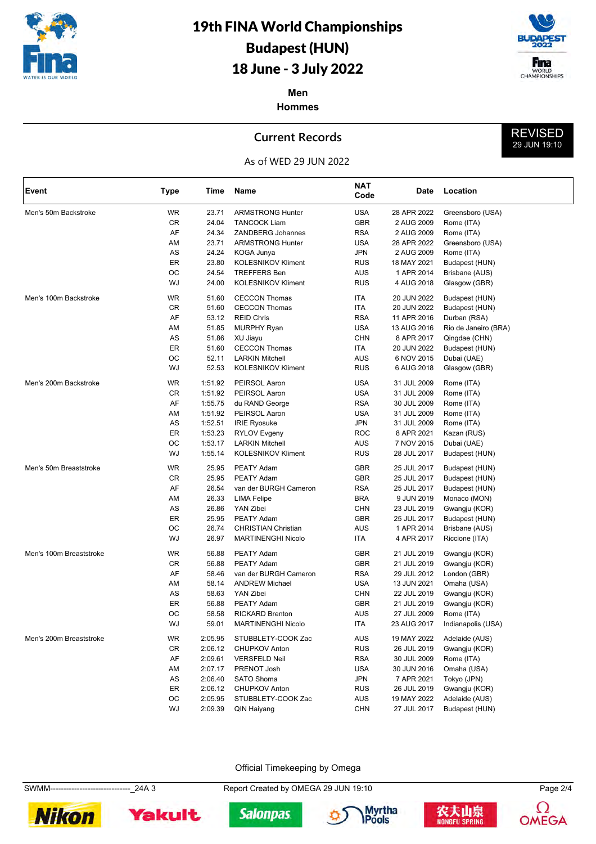



REVISED 29 JUN 19:10

**Men Hommes**

### **Current Records**



| Event                   | <b>Type</b> | Time    | Name                       | <b>NAT</b><br>Code | Date        | Location             |
|-------------------------|-------------|---------|----------------------------|--------------------|-------------|----------------------|
| Men's 50m Backstroke    | <b>WR</b>   | 23.71   | <b>ARMSTRONG Hunter</b>    | <b>USA</b>         | 28 APR 2022 | Greensboro (USA)     |
|                         | CR          | 24.04   | <b>TANCOCK Liam</b>        | <b>GBR</b>         | 2 AUG 2009  | Rome (ITA)           |
|                         | AF          | 24.34   | <b>ZANDBERG Johannes</b>   | <b>RSA</b>         | 2 AUG 2009  | Rome (ITA)           |
|                         | AM          | 23.71   | <b>ARMSTRONG Hunter</b>    | <b>USA</b>         | 28 APR 2022 | Greensboro (USA)     |
|                         | AS          | 24.24   | KOGA Junya                 | <b>JPN</b>         | 2 AUG 2009  | Rome (ITA)           |
|                         | ER          | 23.80   | <b>KOLESNIKOV Kliment</b>  | <b>RUS</b>         | 18 MAY 2021 | Budapest (HUN)       |
|                         | OС          | 24.54   | <b>TREFFERS Ben</b>        | <b>AUS</b>         | 1 APR 2014  | Brisbane (AUS)       |
|                         | WJ          | 24.00   | <b>KOLESNIKOV Kliment</b>  | <b>RUS</b>         | 4 AUG 2018  | Glasgow (GBR)        |
| Men's 100m Backstroke   | <b>WR</b>   | 51.60   | <b>CECCON Thomas</b>       | ITA                | 20 JUN 2022 | Budapest (HUN)       |
|                         | CR          | 51.60   | <b>CECCON Thomas</b>       | <b>ITA</b>         | 20 JUN 2022 | Budapest (HUN)       |
|                         | AF          | 53.12   | <b>REID Chris</b>          | <b>RSA</b>         | 11 APR 2016 | Durban (RSA)         |
|                         | AM          | 51.85   | <b>MURPHY Ryan</b>         | <b>USA</b>         | 13 AUG 2016 | Rio de Janeiro (BRA) |
|                         | AS          | 51.86   | XU Jiayu                   | <b>CHN</b>         | 8 APR 2017  | Qingdae (CHN)        |
|                         | ER          | 51.60   | <b>CECCON Thomas</b>       | ITA                | 20 JUN 2022 | Budapest (HUN)       |
|                         | OС          | 52.11   | <b>LARKIN Mitchell</b>     | AUS                | 6 NOV 2015  | Dubai (UAE)          |
|                         | WJ          | 52.53   | <b>KOLESNIKOV Kliment</b>  | <b>RUS</b>         | 6 AUG 2018  | Glasgow (GBR)        |
| Men's 200m Backstroke   | <b>WR</b>   | 1:51.92 | PEIRSOL Aaron              | <b>USA</b>         | 31 JUL 2009 | Rome (ITA)           |
|                         | CR          | 1:51.92 | PEIRSOL Aaron              | <b>USA</b>         | 31 JUL 2009 | Rome (ITA)           |
|                         | AF          | 1:55.75 | du RAND George             | <b>RSA</b>         | 30 JUL 2009 | Rome (ITA)           |
|                         | AM          | 1:51.92 | PEIRSOL Aaron              | <b>USA</b>         | 31 JUL 2009 | Rome (ITA)           |
|                         | AS          | 1:52.51 | <b>IRIE Ryosuke</b>        | <b>JPN</b>         | 31 JUL 2009 | Rome (ITA)           |
|                         | ER          | 1:53.23 | <b>RYLOV Evgeny</b>        | <b>ROC</b>         | 8 APR 2021  | Kazan (RUS)          |
|                         | ОC          | 1:53.17 | <b>LARKIN Mitchell</b>     | <b>AUS</b>         | 7 NOV 2015  | Dubai (UAE)          |
|                         | WJ          | 1:55.14 | <b>KOLESNIKOV Kliment</b>  | <b>RUS</b>         | 28 JUL 2017 | Budapest (HUN)       |
| Men's 50m Breaststroke  | <b>WR</b>   | 25.95   | PEATY Adam                 | <b>GBR</b>         | 25 JUL 2017 | Budapest (HUN)       |
|                         | CR          | 25.95   | PEATY Adam                 | <b>GBR</b>         | 25 JUL 2017 | Budapest (HUN)       |
|                         | AF          | 26.54   | van der BURGH Cameron      | <b>RSA</b>         | 25 JUL 2017 | Budapest (HUN)       |
|                         | AM          | 26.33   | LIMA Felipe                | <b>BRA</b>         | 9 JUN 2019  | Monaco (MON)         |
|                         | AS          | 26.86   | YAN Zibei                  | <b>CHN</b>         | 23 JUL 2019 | Gwangju (KOR)        |
|                         | ER          | 25.95   | PEATY Adam                 | <b>GBR</b>         | 25 JUL 2017 | Budapest (HUN)       |
|                         | OС          | 26.74   | <b>CHRISTIAN Christian</b> | <b>AUS</b>         | 1 APR 2014  | Brisbane (AUS)       |
|                         | WJ          | 26.97   | <b>MARTINENGHI Nicolo</b>  | ITA                | 4 APR 2017  | Riccione (ITA)       |
| Men's 100m Breaststroke | <b>WR</b>   | 56.88   | PEATY Adam                 | GBR                | 21 JUL 2019 | Gwangju (KOR)        |
|                         | CR          | 56.88   | PEATY Adam                 | <b>GBR</b>         | 21 JUL 2019 | Gwangju (KOR)        |
|                         | AF          | 58.46   | van der BURGH Cameron      | <b>RSA</b>         | 29 JUL 2012 | London (GBR)         |
|                         | AM          | 58.14   | <b>ANDREW Michael</b>      | <b>USA</b>         | 13 JUN 2021 | Omaha (USA)          |
|                         | AS          | 58.63   | YAN Zibei                  | <b>CHN</b>         | 22 JUL 2019 | Gwangju (KOR)        |
|                         | ER          | 56.88   | PEATY Adam                 | <b>GBR</b>         | 21 JUL 2019 | Gwangju (KOR)        |
|                         | ОC          | 58.58   | <b>RICKARD Brenton</b>     | AUS                | 27 JUL 2009 | Rome (ITA)           |
|                         | WJ          | 59.01   | <b>MARTINENGHI Nicolo</b>  | <b>ITA</b>         | 23 AUG 2017 | Indianapolis (USA)   |
| Men's 200m Breaststroke | WR          | 2:05.95 | STUBBLETY-COOK Zac         | AUS                | 19 MAY 2022 | Adelaide (AUS)       |
|                         | CR          | 2:06.12 | CHUPKOV Anton              | <b>RUS</b>         | 26 JUL 2019 | Gwangju (KOR)        |
|                         | AF          | 2:09.61 | <b>VERSFELD Neil</b>       | <b>RSA</b>         | 30 JUL 2009 | Rome (ITA)           |
|                         | AM          | 2:07.17 | PRENOT Josh                | <b>USA</b>         | 30 JUN 2016 | Omaha (USA)          |
|                         | AS          | 2:06.40 | SATO Shoma                 | <b>JPN</b>         | 7 APR 2021  | Tokyo (JPN)          |
|                         | ER          | 2:06.12 | <b>CHUPKOV Anton</b>       | <b>RUS</b>         | 26 JUL 2019 | Gwangju (KOR)        |
|                         | OС          | 2:05.95 | STUBBLETY-COOK Zac         | AUS                | 19 MAY 2022 | Adelaide (AUS)       |
|                         | WJ          | 2:09.39 | QIN Haiyang                | <b>CHN</b>         | 27 JUL 2017 | Budapest (HUN)       |

Official Timekeeping by Omega

SWMM------------------------------\_24A 3 Report Created by OMEGA 29 JUN 19:10 Page 2/4











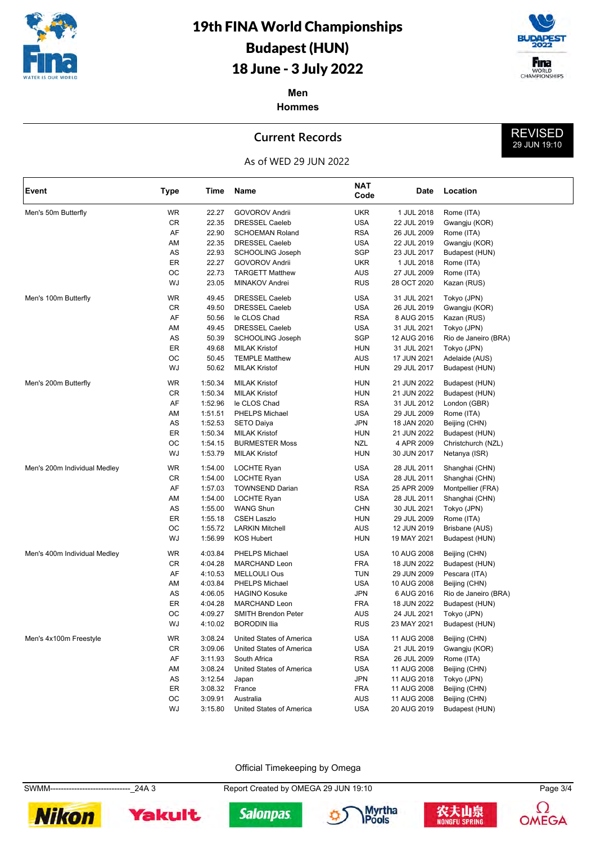



REVISED 29 JUN 19:10

**Men Hommes**

### **Current Records**

### As of WED 29 JUN 2022

| Event                        | <b>Type</b> | Time    | Name                       | <b>NAT</b><br>Code | Date        | Location             |
|------------------------------|-------------|---------|----------------------------|--------------------|-------------|----------------------|
| Men's 50m Butterfly          | WR          | 22.27   | <b>GOVOROV Andrii</b>      | <b>UKR</b>         | 1 JUL 2018  | Rome (ITA)           |
|                              | CR          | 22.35   | <b>DRESSEL Caeleb</b>      | <b>USA</b>         | 22 JUL 2019 | Gwangju (KOR)        |
|                              | AF          | 22.90   | <b>SCHOEMAN Roland</b>     | <b>RSA</b>         | 26 JUL 2009 | Rome (ITA)           |
|                              | AM          | 22.35   | <b>DRESSEL Caeleb</b>      | <b>USA</b>         | 22 JUL 2019 | Gwangju (KOR)        |
|                              | AS          | 22.93   | <b>SCHOOLING Joseph</b>    | <b>SGP</b>         | 23 JUL 2017 | Budapest (HUN)       |
|                              | ER          | 22.27   | <b>GOVOROV Andrii</b>      | UKR                | 1 JUL 2018  | Rome (ITA)           |
|                              | OС          | 22.73   | <b>TARGETT Matthew</b>     | AUS                | 27 JUL 2009 | Rome (ITA)           |
|                              | WJ          | 23.05   | MINAKOV Andrei             | <b>RUS</b>         | 28 OCT 2020 | Kazan (RUS)          |
| Men's 100m Butterfly         | <b>WR</b>   | 49.45   | <b>DRESSEL Caeleb</b>      | <b>USA</b>         | 31 JUL 2021 | Tokyo (JPN)          |
|                              | CR          | 49.50   | <b>DRESSEL Caeleb</b>      | <b>USA</b>         | 26 JUL 2019 | Gwangju (KOR)        |
|                              | AF          | 50.56   | le CLOS Chad               | <b>RSA</b>         | 8 AUG 2015  | Kazan (RUS)          |
|                              | AM          | 49.45   | <b>DRESSEL Caeleb</b>      | USA                | 31 JUL 2021 | Tokyo (JPN)          |
|                              | AS          | 50.39   | <b>SCHOOLING Joseph</b>    | SGP                | 12 AUG 2016 | Rio de Janeiro (BRA) |
|                              | ER          | 49.68   | <b>MILAK Kristof</b>       | HUN                | 31 JUL 2021 | Tokyo (JPN)          |
|                              | OC          | 50.45   | <b>TEMPLE Matthew</b>      | AUS                | 17 JUN 2021 | Adelaide (AUS)       |
|                              | WJ          | 50.62   | <b>MILAK Kristof</b>       | <b>HUN</b>         | 29 JUL 2017 | Budapest (HUN)       |
| Men's 200m Butterfly         | WR          | 1:50.34 | <b>MILAK Kristof</b>       | <b>HUN</b>         | 21 JUN 2022 | Budapest (HUN)       |
|                              | CR          | 1:50.34 | <b>MILAK Kristof</b>       | <b>HUN</b>         | 21 JUN 2022 | Budapest (HUN)       |
|                              | AF          | 1:52.96 | le CLOS Chad               | <b>RSA</b>         | 31 JUL 2012 | London (GBR)         |
|                              | AM          | 1:51.51 | PHELPS Michael             | USA                | 29 JUL 2009 | Rome (ITA)           |
|                              | AS          | 1:52.53 | <b>SETO Daiya</b>          | <b>JPN</b>         | 18 JAN 2020 | Beijing (CHN)        |
|                              | ER          | 1:50.34 | <b>MILAK Kristof</b>       | <b>HUN</b>         | 21 JUN 2022 | Budapest (HUN)       |
|                              | OC          | 1:54.15 | <b>BURMESTER Moss</b>      | NZL                | 4 APR 2009  | Christchurch (NZL)   |
|                              | WJ          | 1:53.79 | <b>MILAK Kristof</b>       | <b>HUN</b>         | 30 JUN 2017 | Netanya (ISR)        |
| Men's 200m Individual Medley | WR          | 1:54.00 | LOCHTE Ryan                | <b>USA</b>         | 28 JUL 2011 | Shanghai (CHN)       |
|                              | CR          | 1:54.00 | LOCHTE Ryan                | <b>USA</b>         | 28 JUL 2011 | Shanghai (CHN)       |
|                              | AF          | 1:57.03 | <b>TOWNSEND Darian</b>     | <b>RSA</b>         | 25 APR 2009 | Montpellier (FRA)    |
|                              | AM          | 1:54.00 | LOCHTE Ryan                | <b>USA</b>         | 28 JUL 2011 | Shanghai (CHN)       |
|                              | AS          | 1:55.00 | <b>WANG Shun</b>           | <b>CHN</b>         | 30 JUL 2021 | Tokyo (JPN)          |
|                              | ER          | 1:55.18 | <b>CSEH Laszlo</b>         | <b>HUN</b>         | 29 JUL 2009 | Rome (ITA)           |
|                              | ОC          | 1:55.72 | <b>LARKIN Mitchell</b>     | AUS                | 12 JUN 2019 | Brisbane (AUS)       |
|                              | WJ          | 1:56.99 | <b>KOS Hubert</b>          | <b>HUN</b>         | 19 MAY 2021 | Budapest (HUN)       |
| Men's 400m Individual Medley | WR          | 4:03.84 | PHELPS Michael             | <b>USA</b>         | 10 AUG 2008 | Beijing (CHN)        |
|                              | CR          | 4:04.28 | <b>MARCHAND Leon</b>       | FRA                | 18 JUN 2022 | Budapest (HUN)       |
|                              | AF          | 4:10.53 | <b>MELLOULI Ous</b>        | TUN                | 29 JUN 2009 | Pescara (ITA)        |
|                              | AM          | 4:03.84 | PHELPS Michael             | <b>USA</b>         | 10 AUG 2008 | Beijing (CHN)        |
|                              | AS          | 4:06.05 | <b>HAGINO Kosuke</b>       | JPN                | 6 AUG 2016  | Rio de Janeiro (BRA) |
|                              | ER          | 4:04.28 | <b>MARCHAND Leon</b>       | FRA                | 18 JUN 2022 | Budapest (HUN)       |
|                              | OC          | 4:09.27 | <b>SMITH Brendon Peter</b> | AUS                | 24 JUL 2021 | Tokyo (JPN)          |
|                              | WJ          | 4:10.02 | <b>BORODIN Ilia</b>        | <b>RUS</b>         | 23 MAY 2021 | Budapest (HUN)       |
| Men's 4x100m Freestyle       | WR          | 3:08.24 | United States of America   | <b>USA</b>         | 11 AUG 2008 | Beijing (CHN)        |
|                              | CR          | 3:09.06 | United States of America   | USA                | 21 JUL 2019 | Gwangju (KOR)        |
|                              | AF          | 3:11.93 | South Africa               | RSA                | 26 JUL 2009 | Rome (ITA)           |
|                              | AM          | 3:08.24 | United States of America   | USA                | 11 AUG 2008 | Beijing (CHN)        |
|                              | AS          | 3:12.54 | Japan                      | <b>JPN</b>         | 11 AUG 2018 | Tokyo (JPN)          |
|                              | ER          | 3:08.32 | France                     | <b>FRA</b>         | 11 AUG 2008 | Beijing (CHN)        |
|                              | OC          | 3:09.91 | Australia                  | <b>AUS</b>         | 11 AUG 2008 | Beijing (CHN)        |
|                              | WJ          | 3:15.80 | United States of America   | USA                | 20 AUG 2019 | Budapest (HUN)       |

Official Timekeeping by Omega

SWMM------------------------------\_24A 3 Report Created by OMEGA 29 JUN 19:10 Page 3/4











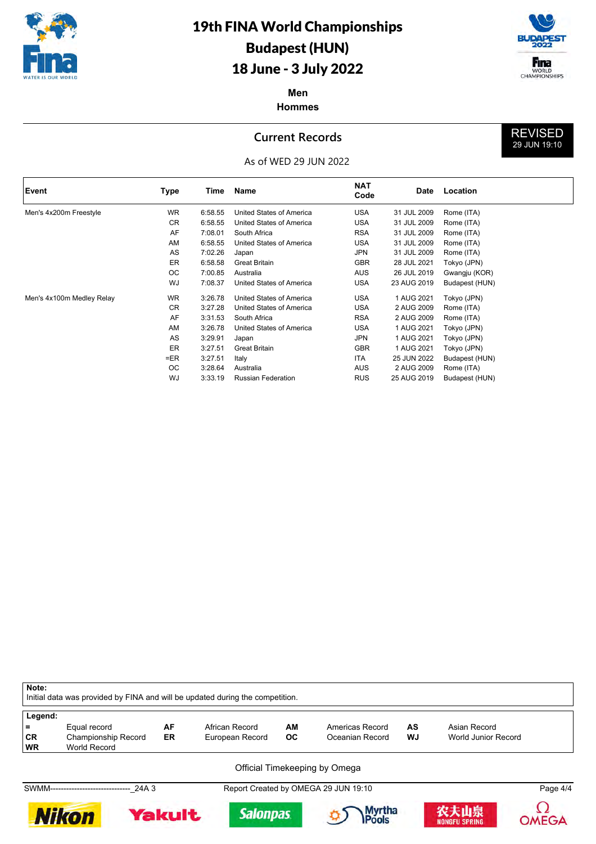



REVISED 29 JUN 19:10

**Men Hommes**

### **Current Records**



| Event                     | Type      | Time    | Name                      | <b>NAT</b><br>Code | Date        | Location       |
|---------------------------|-----------|---------|---------------------------|--------------------|-------------|----------------|
| Men's 4x200m Freestyle    | <b>WR</b> | 6:58.55 | United States of America  | <b>USA</b>         | 31 JUL 2009 | Rome (ITA)     |
|                           | <b>CR</b> | 6:58.55 | United States of America  | <b>USA</b>         | 31 JUL 2009 | Rome (ITA)     |
|                           | AF        | 7:08.01 | South Africa              | <b>RSA</b>         | 31 JUL 2009 | Rome (ITA)     |
|                           | AM        | 6:58.55 | United States of America  | <b>USA</b>         | 31 JUL 2009 | Rome (ITA)     |
|                           | AS        | 7:02.26 | Japan                     | JPN                | 31 JUL 2009 | Rome (ITA)     |
|                           | ER        | 6:58.58 | <b>Great Britain</b>      | <b>GBR</b>         | 28 JUL 2021 | Tokyo (JPN)    |
|                           | OС        | 7:00.85 | Australia                 | AUS                | 26 JUL 2019 | Gwangju (KOR)  |
|                           | WJ        | 7:08.37 | United States of America  | <b>USA</b>         | 23 AUG 2019 | Budapest (HUN) |
| Men's 4x100m Medley Relay | <b>WR</b> | 3:26.78 | United States of America  | <b>USA</b>         | 1 AUG 2021  | Tokyo (JPN)    |
|                           | <b>CR</b> | 3:27.28 | United States of America  | <b>USA</b>         | 2 AUG 2009  | Rome (ITA)     |
|                           | AF        | 3:31.53 | South Africa              | <b>RSA</b>         | 2 AUG 2009  | Rome (ITA)     |
|                           | AM        | 3:26.78 | United States of America  | <b>USA</b>         | 1 AUG 2021  | Tokyo (JPN)    |
|                           | AS        | 3:29.91 | Japan                     | JPN                | 1 AUG 2021  | Tokyo (JPN)    |
|                           | <b>ER</b> | 3:27.51 | <b>Great Britain</b>      | <b>GBR</b>         | 1 AUG 2021  | Tokyo (JPN)    |
|                           | $=ER$     | 3:27.51 | Italy                     | ITA                | 25 JUN 2022 | Budapest (HUN) |
|                           | ОC        | 3:28.64 | Australia                 | AUS                | 2 AUG 2009  | Rome (ITA)     |
|                           | <b>WJ</b> | 3:33.19 | <b>Russian Federation</b> | <b>RUS</b>         | 25 AUG 2019 | Budapest (HUN) |

**Note:** Initial data was provided by FINA and will be updated during the competition. **Legend: =** Equal record **AF** African Record **AM** Americas Record **AS** Asian Record **CR** Championship Record **WR** World Record World Record Official Timekeeping by OmegaSWMM------------------------------\_24A 3 Report Created by OMEGA 29 JUN 19:10 Page 4/4 Ω **Nikon Myrtha** 农夫山泉 Yakult **Salonpas** Pools **OMEGA NONGFU SPRING**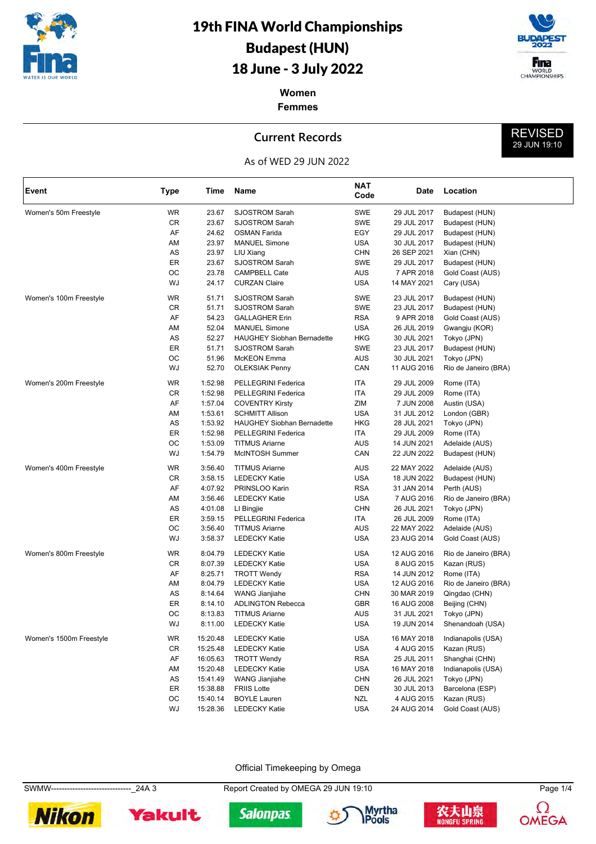



REVISED 29 JUN 19:10

**Women Femmes**

### **Current Records**



| Event                   | Type      | Time     | Name                              | <b>NAT</b><br>Code | Date        | Location             |
|-------------------------|-----------|----------|-----------------------------------|--------------------|-------------|----------------------|
| Women's 50m Freestyle   | <b>WR</b> | 23.67    | <b>SJOSTROM Sarah</b>             | SWE                | 29 JUL 2017 | Budapest (HUN)       |
|                         | CR        | 23.67    | <b>SJOSTROM Sarah</b>             | SWE                | 29 JUL 2017 | Budapest (HUN)       |
|                         | AF        | 24.62    | <b>OSMAN Farida</b>               | EGY                | 29 JUL 2017 | Budapest (HUN)       |
|                         | AM        | 23.97    | <b>MANUEL Simone</b>              | USA                | 30 JUL 2017 | Budapest (HUN)       |
|                         | AS        | 23.97    | LIU Xiang                         | <b>CHN</b>         | 26 SEP 2021 | Xian (CHN)           |
|                         | ER        | 23.67    | <b>SJOSTROM Sarah</b>             | SWE                | 29 JUL 2017 | Budapest (HUN)       |
|                         | OC        | 23.78    | <b>CAMPBELL Cate</b>              | AUS                | 7 APR 2018  | Gold Coast (AUS)     |
|                         | WJ        | 24.17    | <b>CURZAN Claire</b>              | USA                | 14 MAY 2021 | Cary (USA)           |
| Women's 100m Freestyle  | <b>WR</b> | 51.71    | <b>SJOSTROM Sarah</b>             | SWE                | 23 JUL 2017 | Budapest (HUN)       |
|                         | <b>CR</b> | 51.71    | <b>SJOSTROM Sarah</b>             | SWE                | 23 JUL 2017 | Budapest (HUN)       |
|                         | AF        | 54.23    | <b>GALLAGHER Erin</b>             | <b>RSA</b>         | 9 APR 2018  | Gold Coast (AUS)     |
|                         | AM        | 52.04    | <b>MANUEL Simone</b>              | USA                | 26 JUL 2019 | Gwangju (KOR)        |
|                         | AS        | 52.27    | <b>HAUGHEY Siobhan Bernadette</b> | HKG                | 30 JUL 2021 | Tokyo (JPN)          |
|                         | ER        | 51.71    | <b>SJOSTROM Sarah</b>             | SWE                | 23 JUL 2017 | Budapest (HUN)       |
|                         | OC        | 51.96    | <b>McKEON</b> Emma                | AUS                | 30 JUL 2021 | Tokyo (JPN)          |
|                         | WJ        | 52.70    | <b>OLEKSIAK Penny</b>             | CAN                | 11 AUG 2016 | Rio de Janeiro (BRA) |
| Women's 200m Freestyle  | WR        | 1:52.98  | PELLEGRINI Federica               | ITA                | 29 JUL 2009 | Rome (ITA)           |
|                         | CR        | 1:52.98  | PELLEGRINI Federica               | ITA                | 29 JUL 2009 | Rome (ITA)           |
|                         | AF        | 1:57.04  | <b>COVENTRY Kirsty</b>            | ZIM                | 7 JUN 2008  | Austin (USA)         |
|                         | AM        | 1:53.61  | <b>SCHMITT Allison</b>            | <b>USA</b>         | 31 JUL 2012 | London (GBR)         |
|                         | AS        | 1:53.92  | <b>HAUGHEY Siobhan Bernadette</b> | <b>HKG</b>         | 28 JUL 2021 | Tokyo (JPN)          |
|                         | ER        | 1:52.98  | PELLEGRINI Federica               | ITA                | 29 JUL 2009 | Rome (ITA)           |
|                         | OС        | 1:53.09  | <b>TITMUS Ariarne</b>             | AUS                | 14 JUN 2021 | Adelaide (AUS)       |
|                         | WJ        | 1:54.79  | McINTOSH Summer                   | CAN                | 22 JUN 2022 | Budapest (HUN)       |
| Women's 400m Freestyle  | WR        | 3:56.40  | <b>TITMUS Ariarne</b>             | AUS                | 22 MAY 2022 | Adelaide (AUS)       |
|                         | CR        | 3:58.15  | <b>LEDECKY Katie</b>              | USA                | 18 JUN 2022 | Budapest (HUN)       |
|                         | AF        | 4:07.92  | PRINSLOO Karin                    | <b>RSA</b>         | 31 JAN 2014 | Perth (AUS)          |
|                         | AM        | 3:56.46  | <b>LEDECKY Katie</b>              | USA                | 7 AUG 2016  | Rio de Janeiro (BRA) |
|                         | AS        | 4:01.08  | LI Bingjie                        | <b>CHN</b>         | 26 JUL 2021 | Tokyo (JPN)          |
|                         | ER        | 3:59.15  | PELLEGRINI Federica               | ITA                | 26 JUL 2009 | Rome (ITA)           |
|                         | ОС        | 3:56.40  | <b>TITMUS Ariarne</b>             | AUS                | 22 MAY 2022 | Adelaide (AUS)       |
|                         | WJ        | 3:58.37  | <b>LEDECKY Katie</b>              | USA                | 23 AUG 2014 | Gold Coast (AUS)     |
| Women's 800m Freestyle  | <b>WR</b> | 8:04.79  | <b>LEDECKY Katie</b>              | USA                | 12 AUG 2016 | Rio de Janeiro (BRA) |
|                         | <b>CR</b> | 8:07.39  | <b>LEDECKY Katie</b>              | USA                | 8 AUG 2015  | Kazan (RUS)          |
|                         | AF        | 8:25.71  | <b>TROTT Wendy</b>                | <b>RSA</b>         | 14 JUN 2012 | Rome (ITA)           |
|                         | AM        | 8:04.79  | <b>LEDECKY Katie</b>              | USA                | 12 AUG 2016 | Rio de Janeiro (BRA) |
|                         | AS        | 8:14.64  | WANG Jianjiahe                    | CHN                | 30 MAR 2019 | Qingdao (CHN)        |
|                         | ER        | 8:14.10  | <b>ADLINGTON Rebecca</b>          | GBR                | 16 AUG 2008 | Beijing (CHN)        |
|                         | OC        | 8:13.83  | <b>TITMUS Ariarne</b>             | AUS                | 31 JUL 2021 | Tokyo (JPN)          |
|                         | WJ        | 8:11.00  | <b>LEDECKY Katie</b>              | USA                | 19 JUN 2014 | Shenandoah (USA)     |
| Women's 1500m Freestyle | WR        | 15:20.48 | <b>LEDECKY Katie</b>              | <b>USA</b>         | 16 MAY 2018 | Indianapolis (USA)   |
|                         | CR        | 15:25.48 | <b>LEDECKY Katie</b>              | USA                | 4 AUG 2015  | Kazan (RUS)          |
|                         | AF        | 16:05.63 | <b>TROTT Wendy</b>                | <b>RSA</b>         | 25 JUL 2011 | Shanghai (CHN)       |
|                         | AM        | 15:20.48 | <b>LEDECKY Katie</b>              | USA                | 16 MAY 2018 | Indianapolis (USA)   |
|                         | AS        | 15:41.49 | <b>WANG Jianjiahe</b>             | CHN                | 26 JUL 2021 | Tokyo (JPN)          |
|                         | ER        | 15:38.88 | <b>FRIIS Lotte</b>                | DEN                | 30 JUL 2013 | Barcelona (ESP)      |
|                         | ОC        | 15:40.14 | <b>BOYLE Lauren</b>               | <b>NZL</b>         | 4 AUG 2015  | Kazan (RUS)          |
|                         | WJ        | 15:28.36 | <b>LEDECKY Katie</b>              | USA                | 24 AUG 2014 | Gold Coast (AUS)     |

Official Timekeeping by Omega

SWMW------------------------------\_24A 3 Report Created by OMEGA 29 JUN 19:10 Page 1/4











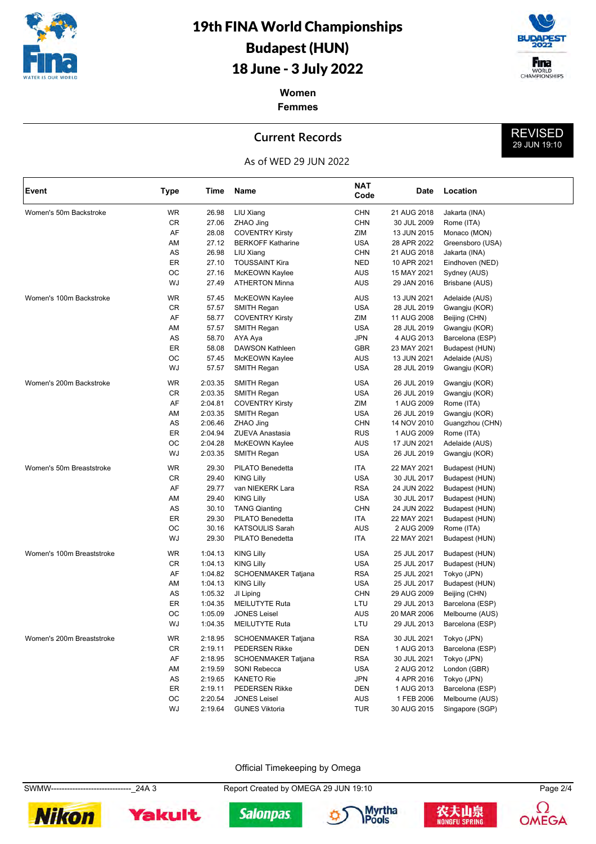



REVISED 29 JUN 19:10

**Women Femmes**

#### **Current Records**



| Event                     | <b>Type</b> | Time    | Name                     | NAT<br>Code | Date        | Location         |
|---------------------------|-------------|---------|--------------------------|-------------|-------------|------------------|
| Women's 50m Backstroke    | <b>WR</b>   | 26.98   | LIU Xiang                | <b>CHN</b>  | 21 AUG 2018 | Jakarta (INA)    |
|                           | CR          | 27.06   | ZHAO Jing                | <b>CHN</b>  | 30 JUL 2009 | Rome (ITA)       |
|                           | AF          | 28.08   | <b>COVENTRY Kirsty</b>   | ZIM         | 13 JUN 2015 | Monaco (MON)     |
|                           | AM          | 27.12   | <b>BERKOFF Katharine</b> | <b>USA</b>  | 28 APR 2022 | Greensboro (USA) |
|                           | AS          | 26.98   | LIU Xiang                | <b>CHN</b>  | 21 AUG 2018 | Jakarta (INA)    |
|                           | ER          | 27.10   | <b>TOUSSAINT Kira</b>    | <b>NED</b>  | 10 APR 2021 | Eindhoven (NED)  |
|                           | ОC          | 27.16   | McKEOWN Kaylee           | AUS         | 15 MAY 2021 | Sydney (AUS)     |
|                           | WJ          | 27.49   | <b>ATHERTON Minna</b>    | AUS         | 29 JAN 2016 | Brisbane (AUS)   |
| Women's 100m Backstroke   | <b>WR</b>   | 57.45   | McKEOWN Kaylee           | AUS         | 13 JUN 2021 | Adelaide (AUS)   |
|                           | CR          | 57.57   | SMITH Regan              | <b>USA</b>  | 28 JUL 2019 | Gwangju (KOR)    |
|                           | AF          | 58.77   | <b>COVENTRY Kirsty</b>   | ZIM         | 11 AUG 2008 | Beijing (CHN)    |
|                           | AM          | 57.57   | SMITH Regan              | <b>USA</b>  | 28 JUL 2019 | Gwangju (KOR)    |
|                           | AS          | 58.70   | AYA Aya                  | <b>JPN</b>  | 4 AUG 2013  | Barcelona (ESP)  |
|                           | ER          | 58.08   | DAWSON Kathleen          | GBR         | 23 MAY 2021 | Budapest (HUN)   |
|                           | OC          | 57.45   | McKEOWN Kaylee           | AUS         | 13 JUN 2021 | Adelaide (AUS)   |
|                           | WJ          | 57.57   | SMITH Regan              | <b>USA</b>  | 28 JUL 2019 | Gwangju (KOR)    |
| Women's 200m Backstroke   | WR          | 2:03.35 | SMITH Regan              | <b>USA</b>  | 26 JUL 2019 | Gwangju (KOR)    |
|                           | CR          | 2:03.35 | SMITH Regan              | <b>USA</b>  | 26 JUL 2019 | Gwangju (KOR)    |
|                           | AF          | 2:04.81 | <b>COVENTRY Kirsty</b>   | ZIM         | 1 AUG 2009  | Rome (ITA)       |
|                           | AM          | 2:03.35 | <b>SMITH Regan</b>       | <b>USA</b>  | 26 JUL 2019 | Gwangju (KOR)    |
|                           | AS          | 2:06.46 | ZHAO Jing                | CHN         | 14 NOV 2010 | Guangzhou (CHN)  |
|                           | ER          | 2:04.94 | ZUEVA Anastasia          | <b>RUS</b>  | 1 AUG 2009  | Rome (ITA)       |
|                           | ОC          | 2:04.28 | McKEOWN Kaylee           | AUS         | 17 JUN 2021 | Adelaide (AUS)   |
|                           | WJ          | 2:03.35 | SMITH Regan              | <b>USA</b>  | 26 JUL 2019 | Gwangju (KOR)    |
| Women's 50m Breaststroke  | WR          | 29.30   | PILATO Benedetta         | ITA         | 22 MAY 2021 | Budapest (HUN)   |
|                           | CR          | 29.40   | <b>KING Lilly</b>        | <b>USA</b>  | 30 JUL 2017 | Budapest (HUN)   |
|                           | AF          | 29.77   | van NIEKERK Lara         | <b>RSA</b>  | 24 JUN 2022 | Budapest (HUN)   |
|                           | AM          | 29.40   | <b>KING Lilly</b>        | <b>USA</b>  | 30 JUL 2017 | Budapest (HUN)   |
|                           | AS          | 30.10   | <b>TANG Qianting</b>     | CHN         | 24 JUN 2022 | Budapest (HUN)   |
|                           | ER          | 29.30   | PILATO Benedetta         | ITA         | 22 MAY 2021 | Budapest (HUN)   |
|                           | ОC          | 30.16   | <b>KATSOULIS Sarah</b>   | <b>AUS</b>  | 2 AUG 2009  | Rome (ITA)       |
|                           | WJ          | 29.30   | PILATO Benedetta         | ITA         | 22 MAY 2021 | Budapest (HUN)   |
| Women's 100m Breaststroke | <b>WR</b>   | 1:04.13 | <b>KING Lilly</b>        | <b>USA</b>  | 25 JUL 2017 | Budapest (HUN)   |
|                           | CR          | 1:04.13 | <b>KING Lilly</b>        | <b>USA</b>  | 25 JUL 2017 | Budapest (HUN)   |
|                           | AF          | 1:04.82 | SCHOENMAKER Tatjana      | <b>RSA</b>  | 25 JUL 2021 | Tokyo (JPN)      |
|                           | AM          | 1:04.13 | <b>KING Lilly</b>        | <b>USA</b>  | 25 JUL 2017 | Budapest (HUN)   |
|                           | AS          | 1:05.32 | JI Liping                | CHN         | 29 AUG 2009 | Beijing (CHN)    |
|                           | ER          | 1:04.35 | <b>MEILUTYTE Ruta</b>    | LTU         | 29 JUL 2013 | Barcelona (ESP)  |
|                           | ОС          | 1:05.09 | <b>JONES Leisel</b>      | AUS         | 20 MAR 2006 | Melbourne (AUS)  |
|                           | WJ          | 1:04.35 | <b>MEILUTYTE Ruta</b>    | LTU         | 29 JUL 2013 | Barcelona (ESP)  |
| Women's 200m Breaststroke | WR          | 2:18.95 | SCHOENMAKER Tatjana      | <b>RSA</b>  | 30 JUL 2021 | Tokyo (JPN)      |
|                           | CR          | 2:19.11 | <b>PEDERSEN Rikke</b>    | DEN         | 1 AUG 2013  | Barcelona (ESP)  |
|                           | AF          | 2:18.95 | SCHOENMAKER Tatjana      | RSA         | 30 JUL 2021 | Tokyo (JPN)      |
|                           | AM          | 2:19.59 | SONI Rebecca             | <b>USA</b>  | 2 AUG 2012  | London (GBR)     |
|                           | AS          | 2:19.65 | <b>KANETO Rie</b>        | JPN         | 4 APR 2016  | Tokyo (JPN)      |
|                           | ER          | 2:19.11 | <b>PEDERSEN Rikke</b>    | DEN         | 1 AUG 2013  | Barcelona (ESP)  |
|                           | OС          | 2:20.54 | <b>JONES Leisel</b>      | AUS         | 1 FEB 2006  | Melbourne (AUS)  |
|                           | WJ          | 2:19.64 | <b>GUNES Viktoria</b>    | <b>TUR</b>  | 30 AUG 2015 | Singapore (SGP)  |

Official Timekeeping by Omega

SWMW------------------------------\_24A 3 Report Created by OMEGA 29 JUN 19:10 Page 2/4











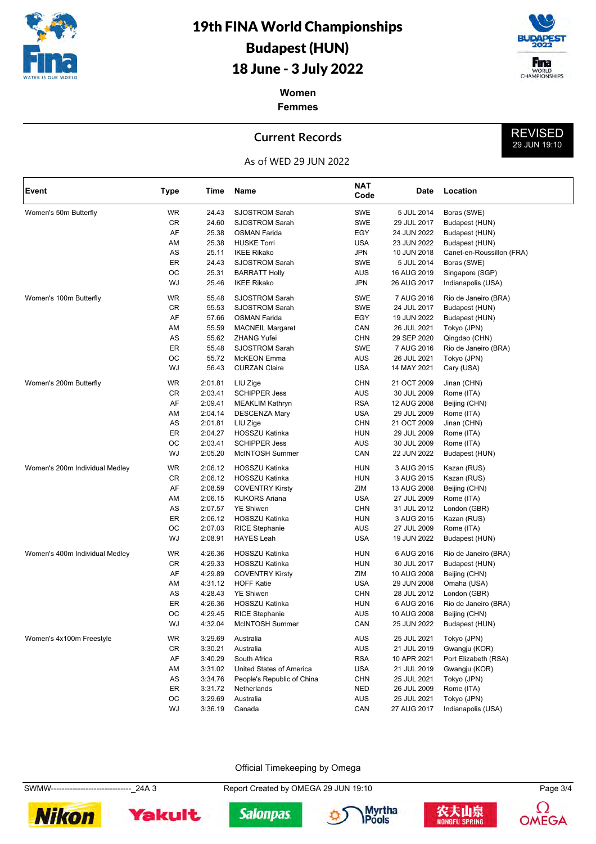



REVISED 29 JUN 19:10

**Women Femmes**

### **Current Records**



| Event                          | <b>Type</b> | Time    | Name                       | <b>NAT</b><br>Code | Date        | Location                  |
|--------------------------------|-------------|---------|----------------------------|--------------------|-------------|---------------------------|
| Women's 50m Butterfly          | WR          | 24.43   | SJOSTROM Sarah             | <b>SWE</b>         | 5 JUL 2014  | Boras (SWE)               |
|                                | CR          | 24.60   | <b>SJOSTROM Sarah</b>      | SWE                | 29 JUL 2017 | Budapest (HUN)            |
|                                | AF          | 25.38   | <b>OSMAN Farida</b>        | EGY                | 24 JUN 2022 | Budapest (HUN)            |
|                                | AM          | 25.38   | <b>HUSKE Torri</b>         | USA                | 23 JUN 2022 | Budapest (HUN)            |
|                                | AS          | 25.11   | <b>IKEE Rikako</b>         | JPN                | 10 JUN 2018 | Canet-en-Roussillon (FRA) |
|                                | ER          | 24.43   | <b>SJOSTROM Sarah</b>      | SWE                | 5 JUL 2014  | Boras (SWE)               |
|                                | OС          | 25.31   | <b>BARRATT Holly</b>       | AUS                | 16 AUG 2019 | Singapore (SGP)           |
|                                | WJ          | 25.46   | <b>IKEE Rikako</b>         | JPN                | 26 AUG 2017 | Indianapolis (USA)        |
| Women's 100m Butterfly         | WR          | 55.48   | <b>SJOSTROM Sarah</b>      | SWE                | 7 AUG 2016  | Rio de Janeiro (BRA)      |
|                                | CR          | 55.53   | <b>SJOSTROM Sarah</b>      | SWE                | 24 JUL 2017 | Budapest (HUN)            |
|                                | AF          | 57.66   | <b>OSMAN Farida</b>        | EGY                | 19 JUN 2022 | Budapest (HUN)            |
|                                | AM          | 55.59   | <b>MACNEIL Margaret</b>    | CAN                | 26 JUL 2021 | Tokyo (JPN)               |
|                                | AS          | 55.62   | ZHANG Yufei                | <b>CHN</b>         | 29 SEP 2020 | Qingdao (CHN)             |
|                                | ER          | 55.48   | <b>SJOSTROM Sarah</b>      | SWE                | 7 AUG 2016  | Rio de Janeiro (BRA)      |
|                                | OС          | 55.72   | McKEON Emma                | AUS                | 26 JUL 2021 | Tokyo (JPN)               |
|                                | WJ          | 56.43   | <b>CURZAN Claire</b>       | USA                | 14 MAY 2021 | Cary (USA)                |
| Women's 200m Butterfly         | WR          | 2:01.81 | LIU Zige                   | <b>CHN</b>         | 21 OCT 2009 | Jinan (CHN)               |
|                                | CR          | 2:03.41 | <b>SCHIPPER Jess</b>       | <b>AUS</b>         | 30 JUL 2009 | Rome (ITA)                |
|                                | AF          | 2:09.41 | <b>MEAKLIM Kathryn</b>     | <b>RSA</b>         | 12 AUG 2008 | Beijing (CHN)             |
|                                | AM          | 2:04.14 | <b>DESCENZA Mary</b>       | USA                | 29 JUL 2009 | Rome (ITA)                |
|                                | AS          | 2:01.81 | LIU Zige                   | <b>CHN</b>         | 21 OCT 2009 | Jinan (CHN)               |
|                                | ER          | 2:04.27 | <b>HOSSZU Katinka</b>      | <b>HUN</b>         | 29 JUL 2009 | Rome (ITA)                |
|                                | ОС          | 2:03.41 | <b>SCHIPPER Jess</b>       | AUS                | 30 JUL 2009 | Rome (ITA)                |
|                                | WJ          | 2:05.20 | McINTOSH Summer            | CAN                | 22 JUN 2022 | Budapest (HUN)            |
| Women's 200m Individual Medley | WR          | 2:06.12 | <b>HOSSZU Katinka</b>      | <b>HUN</b>         | 3 AUG 2015  | Kazan (RUS)               |
|                                | CR          | 2:06.12 | <b>HOSSZU Katinka</b>      | <b>HUN</b>         | 3 AUG 2015  | Kazan (RUS)               |
|                                | AF          | 2:08.59 | <b>COVENTRY Kirsty</b>     | ZIM                | 13 AUG 2008 | Beijing (CHN)             |
|                                | AM          | 2:06.15 | <b>KUKORS Ariana</b>       | USA                | 27 JUL 2009 | Rome (ITA)                |
|                                | AS          | 2:07.57 | <b>YE Shiwen</b>           | <b>CHN</b>         | 31 JUL 2012 | London (GBR)              |
|                                | ER          | 2:06.12 | <b>HOSSZU Katinka</b>      | <b>HUN</b>         | 3 AUG 2015  | Kazan (RUS)               |
|                                | ОС          | 2:07.03 | <b>RICE Stephanie</b>      | AUS                | 27 JUL 2009 | Rome (ITA)                |
|                                | WJ          | 2:08.91 | <b>HAYES Leah</b>          | USA                | 19 JUN 2022 | Budapest (HUN)            |
| Women's 400m Individual Medley | WR          | 4:26.36 | <b>HOSSZU Katinka</b>      | <b>HUN</b>         | 6 AUG 2016  | Rio de Janeiro (BRA)      |
|                                | CR          | 4:29.33 | <b>HOSSZU Katinka</b>      | <b>HUN</b>         | 30 JUL 2017 | Budapest (HUN)            |
|                                | AF          | 4:29.89 | <b>COVENTRY Kirsty</b>     | ZIM                | 10 AUG 2008 | Beijing (CHN)             |
|                                | AM          | 4:31.12 | <b>HOFF Katie</b>          | USA                | 29 JUN 2008 | Omaha (USA)               |
|                                | AS          | 4:28.43 | <b>YE Shiwen</b>           | <b>CHN</b>         | 28 JUL 2012 | London (GBR)              |
|                                | ER          | 4:26.36 | HOSSZU Katinka             | HUN                | 6 AUG 2016  | Rio de Janeiro (BRA)      |
|                                | ОС          | 4:29.45 | <b>RICE Stephanie</b>      | AUS                | 10 AUG 2008 | Beijing (CHN)             |
|                                | WJ          | 4:32.04 | McINTOSH Summer            | CAN                | 25 JUN 2022 | Budapest (HUN)            |
| Women's 4x100m Freestyle       | WR          | 3:29.69 | Australia                  | <b>AUS</b>         | 25 JUL 2021 | Tokyo (JPN)               |
|                                | CR          | 3:30.21 | Australia                  | <b>AUS</b>         | 21 JUL 2019 | Gwangju (KOR)             |
|                                | AF          | 3:40.29 | South Africa               | <b>RSA</b>         | 10 APR 2021 | Port Elizabeth (RSA)      |
|                                | AM          | 3:31.02 | United States of America   | <b>USA</b>         | 21 JUL 2019 | Gwangju (KOR)             |
|                                | AS          | 3:34.76 | People's Republic of China | <b>CHN</b>         | 25 JUL 2021 | Tokyo (JPN)               |
|                                | ER          | 3:31.72 | Netherlands                | NED                | 26 JUL 2009 | Rome (ITA)                |
|                                | ОC          | 3:29.69 | Australia                  | <b>AUS</b>         | 25 JUL 2021 | Tokyo (JPN)               |
|                                | WJ          | 3:36.19 | Canada                     | CAN                | 27 AUG 2017 | Indianapolis (USA)        |

Official Timekeeping by Omega

SWMW------------------------------\_24A 3 Report Created by OMEGA 29 JUN 19:10 Page 3/4











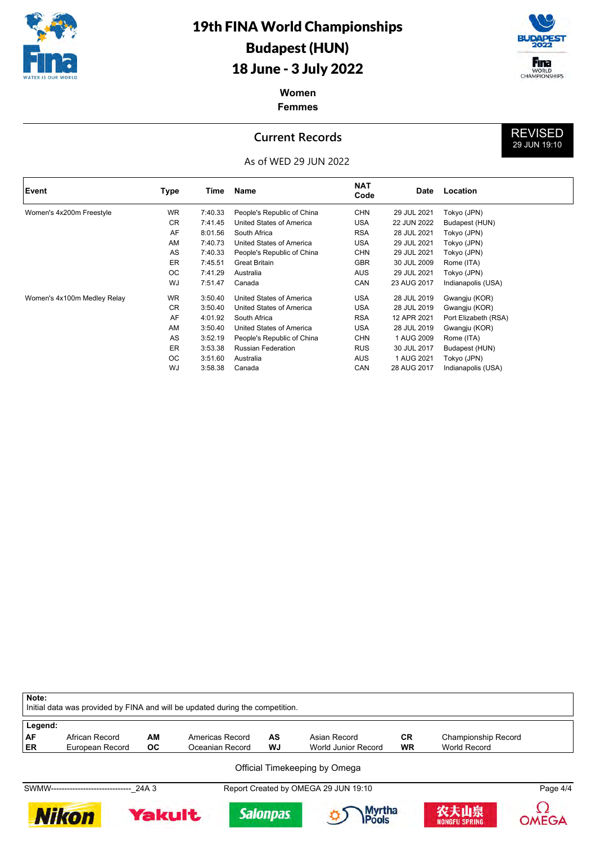



REVISED 29 JUN 19:10

### **Women Femmes**

### **Current Records**



| Event                       | Type      | Time    | Name                       | <b>NAT</b><br>Code | Date        | Location             |
|-----------------------------|-----------|---------|----------------------------|--------------------|-------------|----------------------|
| Women's 4x200m Freestyle    | <b>WR</b> | 7:40.33 | People's Republic of China | <b>CHN</b>         | 29 JUL 2021 | Tokyo (JPN)          |
|                             | <b>CR</b> | 7:41.45 | United States of America   | USA                | 22 JUN 2022 | Budapest (HUN)       |
|                             | AF        | 8:01.56 | South Africa               | <b>RSA</b>         | 28 JUL 2021 | Tokyo (JPN)          |
|                             | AM        | 7:40.73 | United States of America   | <b>USA</b>         | 29 JUL 2021 | Tokyo (JPN)          |
|                             | AS        | 7:40.33 | People's Republic of China | <b>CHN</b>         | 29 JUL 2021 | Tokyo (JPN)          |
|                             | ER        | 7:45.51 | <b>Great Britain</b>       | <b>GBR</b>         | 30 JUL 2009 | Rome (ITA)           |
|                             | ОC        | 7:41.29 | Australia                  | AUS                | 29 JUL 2021 | Tokyo (JPN)          |
|                             | <b>WJ</b> | 7:51.47 | Canada                     | CAN                | 23 AUG 2017 | Indianapolis (USA)   |
| Women's 4x100m Medley Relay | <b>WR</b> | 3:50.40 | United States of America   | <b>USA</b>         | 28 JUL 2019 | Gwangju (KOR)        |
|                             | CR        | 3:50.40 | United States of America   | USA                | 28 JUL 2019 | Gwangju (KOR)        |
|                             | AF        | 4:01.92 | South Africa               | <b>RSA</b>         | 12 APR 2021 | Port Elizabeth (RSA) |
|                             | AM        | 3:50.40 | United States of America   | USA                | 28 JUL 2019 | Gwangju (KOR)        |
|                             | AS        | 3:52.19 | People's Republic of China | <b>CHN</b>         | 1 AUG 2009  | Rome (ITA)           |
|                             | ER        | 3:53.38 | <b>Russian Federation</b>  | <b>RUS</b>         | 30 JUL 2017 | Budapest (HUN)       |
|                             | ОC        | 3:51.60 | Australia                  | AUS                | 1 AUG 2021  | Tokyo (JPN)          |
|                             | WJ        | 3:58.38 | Canada                     | CAN                | 28 AUG 2017 | Indianapolis (USA)   |

| Note:   |                                |         | Initial data was provided by FINA and will be updated during the competition. |                 |                                                                       |           |                              |              |
|---------|--------------------------------|---------|-------------------------------------------------------------------------------|-----------------|-----------------------------------------------------------------------|-----------|------------------------------|--------------|
| Legend: |                                |         |                                                                               |                 |                                                                       |           |                              |              |
| AF      | African Record                 | AM      | Americas Record                                                               | AS              | Asian Record                                                          | <b>CR</b> | <b>Championship Record</b>   |              |
| ER      | European Record                | OC.     | Oceanian Record                                                               | WJ              | <b>World Junior Record</b>                                            | <b>WR</b> | World Record                 |              |
|         | SWMW-------------------------- | · 24A 3 |                                                                               |                 | Official Timekeeping by Omega<br>Report Created by OMEGA 29 JUN 19:10 |           |                              | Page 4/4     |
|         | <b>Nikon</b>                   | Yakult  |                                                                               | <b>Salonpas</b> | Myrtha<br>IPools                                                      |           | 农夫山泉<br><b>NONGFU SPRING</b> | <b>OMEGA</b> |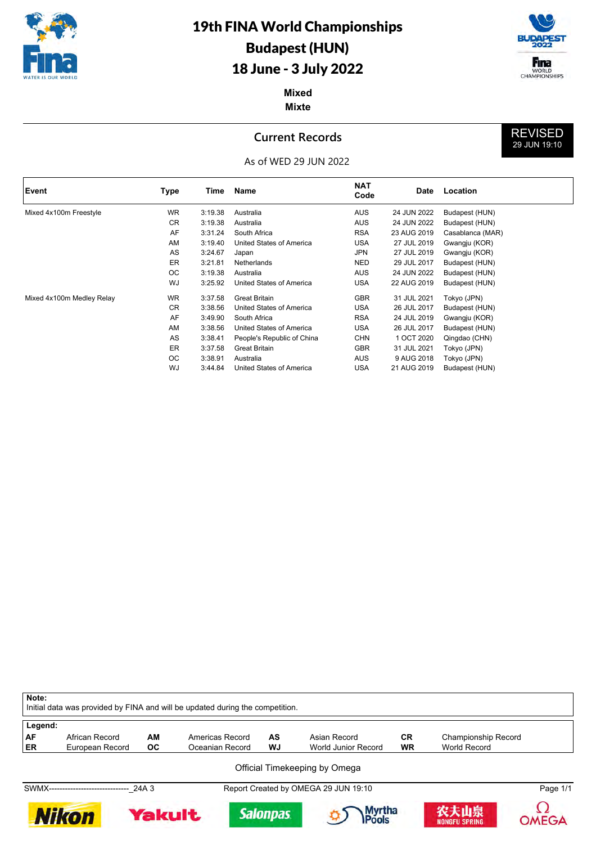



REVISED 29 JUN 19:10

**Mixed Mixte**

## **Current Records**



| Event                     | Type      | Time    | Name                       | <b>NAT</b><br>Code | <b>Date</b> | Location         |
|---------------------------|-----------|---------|----------------------------|--------------------|-------------|------------------|
| Mixed 4x100m Freestyle    | <b>WR</b> | 3:19.38 | Australia                  | <b>AUS</b>         | 24 JUN 2022 | Budapest (HUN)   |
|                           | <b>CR</b> | 3:19.38 | Australia                  | AUS                | 24 JUN 2022 | Budapest (HUN)   |
|                           | AF        | 3:31.24 | South Africa               | <b>RSA</b>         | 23 AUG 2019 | Casablanca (MAR) |
|                           | AM        | 3:19.40 | United States of America   | <b>USA</b>         | 27 JUL 2019 | Gwangju (KOR)    |
|                           | AS        | 3:24.67 | Japan                      | <b>JPN</b>         | 27 JUL 2019 | Gwangju (KOR)    |
|                           | ER        | 3:21.81 | Netherlands                | NED                | 29 JUL 2017 | Budapest (HUN)   |
|                           | OC.       | 3:19.38 | Australia                  | AUS                | 24 JUN 2022 | Budapest (HUN)   |
|                           | WJ        | 3:25.92 | United States of America   | USA                | 22 AUG 2019 | Budapest (HUN)   |
| Mixed 4x100m Medley Relay | WR.       | 3:37.58 | <b>Great Britain</b>       | <b>GBR</b>         | 31 JUL 2021 | Tokyo (JPN)      |
|                           | <b>CR</b> | 3:38.56 | United States of America   | USA                | 26 JUL 2017 | Budapest (HUN)   |
|                           | AF        | 3:49.90 | South Africa               | <b>RSA</b>         | 24 JUL 2019 | Gwangju (KOR)    |
|                           | AM        | 3:38.56 | United States of America   | USA                | 26 JUL 2017 | Budapest (HUN)   |
|                           | AS        | 3:38.41 | People's Republic of China | <b>CHN</b>         | 1 OCT 2020  | Qingdao (CHN)    |
|                           | ER        | 3:37.58 | <b>Great Britain</b>       | <b>GBR</b>         | 31 JUL 2021 | Tokyo (JPN)      |
|                           | <b>OC</b> | 3:38.91 | Australia                  | AUS                | 9 AUG 2018  | Tokyo (JPN)      |
|                           | WJ        | 3:44.84 | United States of America   | USA                | 21 AUG 2019 | Budapest (HUN)   |

| Note:   |                                          |        | Initial data was provided by FINA and will be updated during the competition. |                 |                                                                       |           |                       |              |
|---------|------------------------------------------|--------|-------------------------------------------------------------------------------|-----------------|-----------------------------------------------------------------------|-----------|-----------------------|--------------|
| Legend: |                                          |        |                                                                               |                 |                                                                       |           |                       |              |
| AF      | African Record                           | AM     | Americas Record                                                               | AS              | Asian Record                                                          | <b>CR</b> | Championship Record   |              |
| ER      | European Record                          | OC.    | Oceanian Record                                                               | WJ              | World Junior Record                                                   | <b>WR</b> | World Record          |              |
|         | SWMX------------------------------ 24A 3 |        |                                                                               |                 | Official Timekeeping by Omega<br>Report Created by OMEGA 29 JUN 19:10 |           |                       | Page 1/1     |
|         | Nikon                                    | Yakult |                                                                               | <b>Salonpas</b> | <b>Myrtha</b>                                                         |           | 农夫山泉<br>NONGFU SPRING | <b>OMEGA</b> |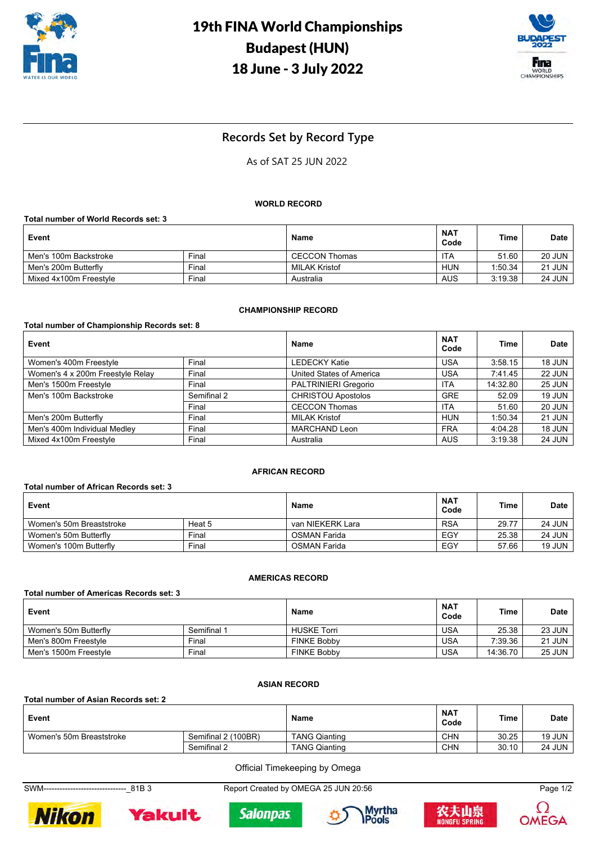



## **Records Set by Record Type**

## As of SAT 25 JUN 2022

#### **WORLD RECORD**

**Total number of World Records set: 3**

| Event                  |       | Name                 | <b>NAT</b><br>Code | <b>Time</b> | <b>Date</b>   |
|------------------------|-------|----------------------|--------------------|-------------|---------------|
| Men's 100m Backstroke  | Final | <b>CECCON Thomas</b> | ITA                | 51.60       | <b>20 JUN</b> |
| Men's 200m Butterfly   | Final | MILAK Kristof        | HUN                | 1:50.34     | <b>21 JUN</b> |
| Mixed 4x100m Freestyle | Final | Australia            | <b>AUS</b>         | 3:19.38     | <b>24 JUN</b> |

#### **CHAMPIONSHIP RECORD**

#### **Total number of Championship Records set: 8**

| Event                            |             | Name                        | <b>NAT</b><br>Code | Time     | Date          |
|----------------------------------|-------------|-----------------------------|--------------------|----------|---------------|
| Women's 400m Freestyle           | Final       | <b>LEDECKY Katie</b>        | <b>USA</b>         | 3:58.15  | <b>18 JUN</b> |
| Women's 4 x 200m Freestyle Relay | Final       | United States of America    | <b>USA</b>         | 7:41.45  | <b>22 JUN</b> |
| Men's 1500m Freestyle            | Final       | <b>PALTRINIERI Gregorio</b> | <b>ITA</b>         | 14:32.80 | <b>25 JUN</b> |
| Men's 100m Backstroke            | Semifinal 2 | <b>CHRISTOU Apostolos</b>   | <b>GRE</b>         | 52.09    | <b>19 JUN</b> |
|                                  | Final       | <b>CECCON Thomas</b>        | <b>ITA</b>         | 51.60    | <b>20 JUN</b> |
| Men's 200m Butterfly             | Final       | <b>MILAK Kristof</b>        | <b>HUN</b>         | 1:50.34  | <b>21 JUN</b> |
| Men's 400m Individual Medley     | Final       | <b>MARCHAND Leon</b>        | <b>FRA</b>         | 4:04.28  | <b>18 JUN</b> |
| Mixed 4x100m Freestyle           | Final       | Australia                   | <b>AUS</b>         | 3:19.38  | <b>24 JUN</b> |

#### **AFRICAN RECORD**

#### **Total number of African Records set: 3**

| Event                    |        | <b>Name</b>      | <b>NAT</b><br>Code | <b>Time</b> | <b>Date</b>   |
|--------------------------|--------|------------------|--------------------|-------------|---------------|
| Women's 50m Breaststroke | Heat 5 | van NIEKERK Lara | <b>RSA</b>         | 29.77       | <b>24 JUN</b> |
| Women's 50m Butterfly    | Final  | OSMAN Farida     | EGY                | 25.38       | <b>24 JUN</b> |
| Women's 100m Butterfly   | Final  | OSMAN Farida     | EGY                | 57.66       | <b>19 JUN</b> |

#### **AMERICAS RECORD**

| Total number of Americas Records set: 3 |             |                    |                    |          |               |  |  |  |
|-----------------------------------------|-------------|--------------------|--------------------|----------|---------------|--|--|--|
| Event                                   |             | Name               | <b>NAT</b><br>Code | Time     | <b>Date</b>   |  |  |  |
| Women's 50m Butterfly                   | Semifinal 1 | <b>HUSKE Torri</b> | <b>USA</b>         | 25.38    | <b>23 JUN</b> |  |  |  |
| Men's 800m Freestyle                    | Final       | <b>FINKE Bobby</b> | <b>USA</b>         | 7:39.36  | <b>21 JUN</b> |  |  |  |
| Men's 1500m Freestyle                   | Final       | <b>FINKE Bobby</b> | <b>USA</b>         | 14:36.70 | <b>25 JUN</b> |  |  |  |

#### **ASIAN RECORD**

#### **Total number of Asian Records set: 2**

| Event                    |                     | Name                 | <b>NAT</b><br>Code | <b>Time</b> | Date          |
|--------------------------|---------------------|----------------------|--------------------|-------------|---------------|
| Women's 50m Breaststroke | Semifinal 2 (100BR) | <b>TANG Qianting</b> | <b>CHN</b>         | 30.25       | 19 JUN        |
|                          | Semifinal 2         | <b>TANG Qianting</b> | <b>CHN</b>         | 30.10       | <b>24 JUN</b> |

Official Timekeeping by Omega

SWM-------------------------------\_81B 3 Report Created by OMEGA 25 JUN 20:56 Page 1/2











**OMEGA**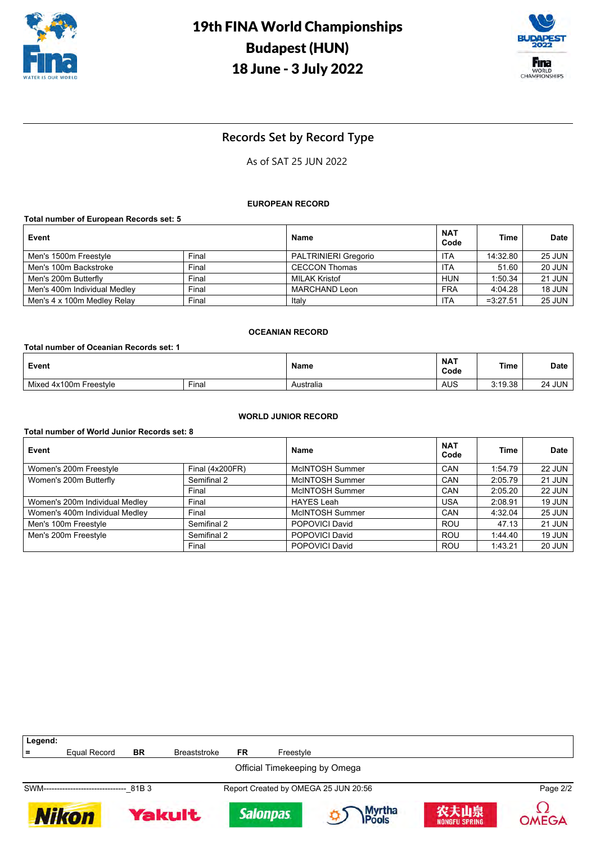



## **Records Set by Record Type**

## As of SAT 25 JUN 2022

#### **EUROPEAN RECORD**

#### **Total number of European Records set: 5**

| Event                        |       | Name                        | <b>NAT</b><br>Code | Time       | <b>Date</b>   |
|------------------------------|-------|-----------------------------|--------------------|------------|---------------|
| Men's 1500m Freestyle        | Final | <b>PALTRINIERI Gregorio</b> | ITA                | 14:32.80   | <b>25 JUN</b> |
| Men's 100m Backstroke        | Final | <b>CECCON Thomas</b>        | ITA                | 51.60      | <b>20 JUN</b> |
| Men's 200m Butterfly         | Final | <b>MILAK Kristof</b>        | HUN                | 1:50.34    | <b>21 JUN</b> |
| Men's 400m Individual Medley | Final | MARCHAND Leon               | <b>FRA</b>         | 4:04.28    | <b>18 JUN</b> |
| Men's 4 x 100m Medley Relay  | Final | Italv                       | ITA                | $=3:27.51$ | 25 JUN        |

#### **OCEANIAN RECORD**

| Total number of Oceanian Records set: 1 |       |           |                    |             |               |  |  |
|-----------------------------------------|-------|-----------|--------------------|-------------|---------------|--|--|
| Event                                   |       | Name      | <b>NAT</b><br>Code | <b>Time</b> | <b>Date</b>   |  |  |
| Mixed 4x100m Freestyle                  | Final | Australia | AUS                | 3:19.38     | <b>24 JUN</b> |  |  |

#### **WORLD JUNIOR RECORD**

#### **Total number of World Junior Records set: 8**

| Event                          |                 | Name              | <b>NAT</b><br>Code | Time    | <b>Date</b>   |
|--------------------------------|-----------------|-------------------|--------------------|---------|---------------|
| Women's 200m Freestyle         | Final (4x200FR) | McINTOSH Summer   | CAN                | 1:54.79 | <b>22 JUN</b> |
| Women's 200m Butterfly         | Semifinal 2     | McINTOSH Summer   | CAN                | 2:05.79 | <b>21 JUN</b> |
|                                | Final           | McINTOSH Summer   | CAN                | 2:05.20 | <b>22 JUN</b> |
| Women's 200m Individual Medley | Final           | <b>HAYES Leah</b> | USA                | 2:08.91 | <b>19 JUN</b> |
| Women's 400m Individual Medley | Final           | McINTOSH Summer   | CAN                | 4:32.04 | <b>25 JUN</b> |
| Men's 100m Freestyle           | Semifinal 2     | POPOVICI David    | <b>ROU</b>         | 47.13   | <b>21 JUN</b> |
| Men's 200m Freestyle           | Semifinal 2     | POPOVICI David    | <b>ROU</b>         | 1.44.40 | <b>19 JUN</b> |
|                                | Final           | POPOVICI David    | <b>ROU</b>         | 1:43.21 | <b>20 JUN</b> |

| Legend:                       |              |               |                     |                 |           |                                      |                              |          |
|-------------------------------|--------------|---------------|---------------------|-----------------|-----------|--------------------------------------|------------------------------|----------|
| $\equiv$                      | Equal Record | <b>BR</b>     | <b>Breaststroke</b> | FR              | Freestyle |                                      |                              |          |
| Official Timekeeping by Omega |              |               |                     |                 |           |                                      |                              |          |
| SWM----------------------     |              | 81B3          |                     |                 |           | Report Created by OMEGA 25 JUN 20:56 |                              | Page 2/2 |
| <b>Nikon</b>                  |              | <b>Yakult</b> |                     | <b>Salonpas</b> |           | Myrtha<br>Pools                      | 农夫山泉<br><b>NONGFU SPRING</b> | OMEGA    |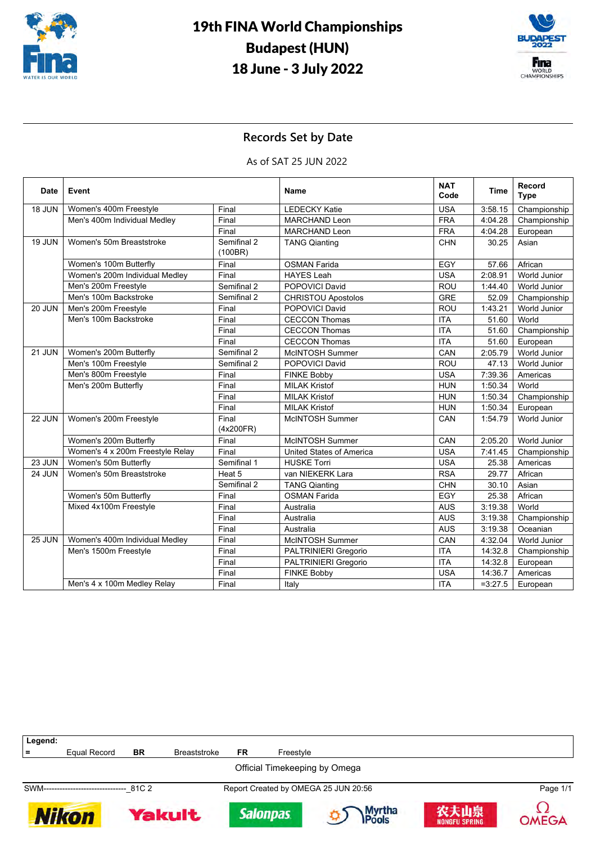



## **Records Set by Date**

As of SAT 25 JUN 2022

| <b>Date</b>   | Event                            |                        | Name                            | <b>NAT</b><br>Code | <b>Time</b> | Record<br><b>Type</b> |
|---------------|----------------------------------|------------------------|---------------------------------|--------------------|-------------|-----------------------|
| 18 JUN        | Women's 400m Freestyle           | Final                  | <b>LEDECKY Katie</b>            | <b>USA</b>         | 3:58.15     | Championship          |
|               | Men's 400m Individual Medley     | Final                  | <b>MARCHAND Leon</b>            | <b>FRA</b>         | 4:04.28     | Championship          |
|               |                                  | Final                  | <b>MARCHAND Leon</b>            | <b>FRA</b>         | 4:04.28     | European              |
| 19 JUN        | Women's 50m Breaststroke         | Semifinal 2<br>(100BR) | <b>TANG Qianting</b>            | <b>CHN</b>         | 30.25       | Asian                 |
|               | Women's 100m Butterfly           | Final                  | <b>OSMAN Farida</b>             | EGY                | 57.66       | African               |
|               | Women's 200m Individual Medley   | Final                  | <b>HAYES Leah</b>               | <b>USA</b>         | 2:08.91     | <b>World Junior</b>   |
|               | Men's 200m Freestyle             | Semifinal 2            | <b>POPOVICI David</b>           | <b>ROU</b>         | 1:44.40     | <b>World Junior</b>   |
|               | Men's 100m Backstroke            | Semifinal 2            | <b>CHRISTOU Apostolos</b>       | <b>GRE</b>         | 52.09       | Championship          |
| <b>20 JUN</b> | Men's 200m Freestyle             | Final                  | POPOVICI David                  | <b>ROU</b>         | 1:43.21     | <b>World Junior</b>   |
|               | Men's 100m Backstroke            | Final                  | <b>CECCON Thomas</b>            | <b>ITA</b>         | 51.60       | World                 |
|               |                                  | Final                  | <b>CECCON Thomas</b>            | <b>ITA</b>         | 51.60       | Championship          |
|               |                                  | Final                  | <b>CECCON Thomas</b>            | <b>ITA</b>         | 51.60       | European              |
| 21 JUN        | Women's 200m Butterfly           | Semifinal 2            | <b>McINTOSH Summer</b>          | CAN                | 2:05.79     | <b>World Junior</b>   |
|               | Men's 100m Freestyle             | Semifinal 2            | POPOVICI David                  | ROU                | 47.13       | World Junior          |
|               | Men's 800m Freestyle             | Final                  | <b>FINKE Bobby</b>              | <b>USA</b>         | 7:39.36     | Americas              |
|               | Men's 200m Butterfly             | Final                  | <b>MILAK Kristof</b>            | <b>HUN</b>         | 1:50.34     | World                 |
|               |                                  | Final                  | <b>MILAK Kristof</b>            | <b>HUN</b>         | 1:50.34     | Championship          |
|               |                                  | Final                  | <b>MILAK Kristof</b>            | <b>HUN</b>         | 1:50.34     | European              |
| 22 JUN        | Women's 200m Freestyle           | Final<br>(4x200FR)     | <b>McINTOSH Summer</b>          | CAN                | 1:54.79     | World Junior          |
|               | Women's 200m Butterfly           | Final                  | <b>McINTOSH Summer</b>          | CAN                | 2:05.20     | <b>World Junior</b>   |
|               | Women's 4 x 200m Freestyle Relay | Final                  | <b>United States of America</b> | <b>USA</b>         | 7:41.45     | Championship          |
| 23 JUN        | Women's 50m Butterfly            | Semifinal 1            | <b>HUSKE Torri</b>              | <b>USA</b>         | 25.38       | Americas              |
| 24 JUN        | Women's 50m Breaststroke         | Heat 5                 | van NIEKERK Lara                | <b>RSA</b>         | 29.77       | African               |
|               |                                  | Semifinal 2            | <b>TANG Qianting</b>            | <b>CHN</b>         | 30.10       | Asian                 |
|               | Women's 50m Butterfly            | Final                  | <b>OSMAN Farida</b>             | EGY                | 25.38       | African               |
|               | Mixed 4x100m Freestyle           | Final                  | Australia                       | <b>AUS</b>         | 3:19.38     | World                 |
|               |                                  | Final                  | Australia                       | <b>AUS</b>         | 3:19.38     | Championship          |
|               |                                  | Final                  | Australia                       | <b>AUS</b>         | 3:19.38     | Oceanian              |
| <b>25 JUN</b> | Women's 400m Individual Medley   | Final                  | <b>McINTOSH Summer</b>          | CAN                | 4:32.04     | World Junior          |
|               | Men's 1500m Freestyle            | Final                  | <b>PALTRINIERI Gregorio</b>     | <b>ITA</b>         | 14:32.8     | Championship          |
|               |                                  | Final                  | PALTRINIERI Gregorio            | <b>ITA</b>         | 14:32.8     | European              |
|               |                                  | Final                  | <b>FINKE Bobby</b>              | <b>USA</b>         | 14:36.7     | Americas              |
|               | Men's 4 x 100m Medley Relay      | Final                  | Italy                           | <b>ITA</b>         | $=3:27.5$   | European              |